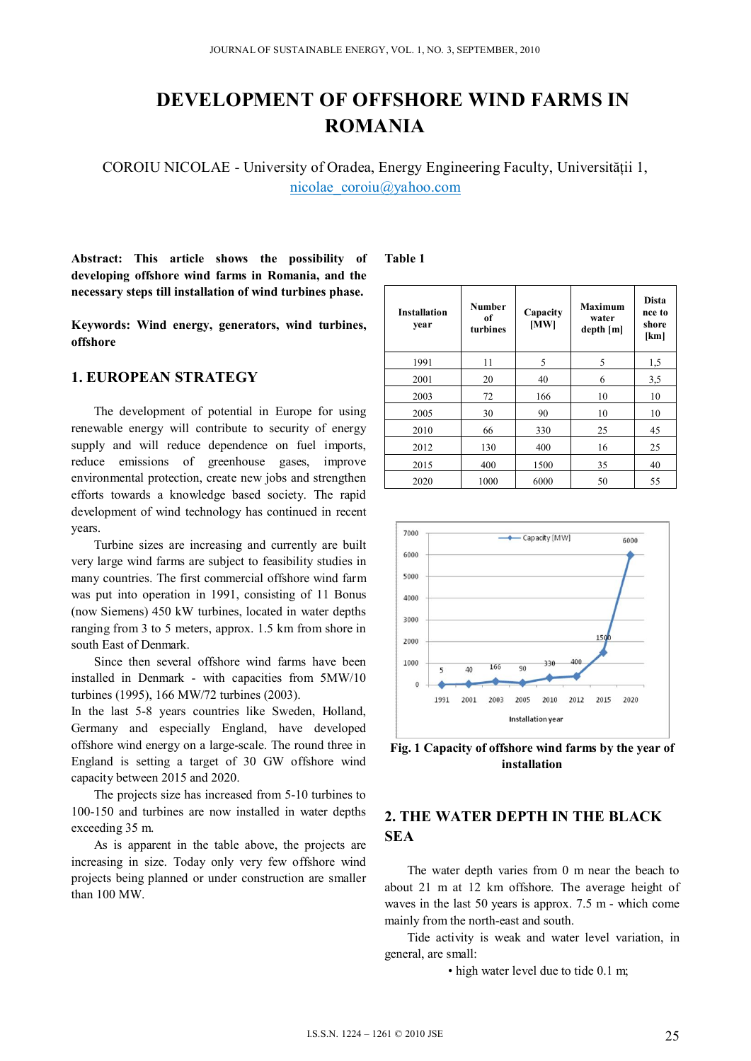# **DEVELOPMENT OF OFFSHORE WIND FARMS IN ROMANIA**

COROIU NICOLAE - University of Oradea, Energy Engineering Faculty, Universităţii 1, nicolae\_coroiu@yahoo.com

**Abstract: This article shows the possibility of developing offshore wind farms in Romania, and the necessary steps till installation of wind turbines phase.** 

**Keywords: Wind energy, generators, wind turbines, offshore** 

### **1. EUROPEAN STRATEGY**

The development of potential in Europe for using renewable energy will contribute to security of energy supply and will reduce dependence on fuel imports, reduce emissions of greenhouse gases, improve environmental protection, create new jobs and strengthen efforts towards a knowledge based society. The rapid development of wind technology has continued in recent years.

Turbine sizes are increasing and currently are built very large wind farms are subject to feasibility studies in many countries. The first commercial offshore wind farm was put into operation in 1991, consisting of 11 Bonus (now Siemens) 450 kW turbines, located in water depths ranging from 3 to 5 meters, approx. 1.5 km from shore in south East of Denmark.

Since then several offshore wind farms have been installed in Denmark - with capacities from 5MW/10 turbines (1995), 166 MW/72 turbines (2003).

In the last 5-8 years countries like Sweden, Holland, Germany and especially England, have developed offshore wind energy on a large-scale. The round three in England is setting a target of 30 GW offshore wind capacity between 2015 and 2020.

The projects size has increased from 5-10 turbines to 100-150 and turbines are now installed in water depths exceeding 35 m.

As is apparent in the table above, the projects are increasing in size. Today only very few offshore wind projects being planned or under construction are smaller than 100 MW.

#### **Table 1**

| <b>Installation</b><br>year | Number<br>of<br>turbines | Capacity<br>[MW] | <b>Maximum</b><br>water<br>depth[m] | <b>Dista</b><br>nce to<br>shore<br>[km] |
|-----------------------------|--------------------------|------------------|-------------------------------------|-----------------------------------------|
| 1991                        | 11                       | 5                | 5                                   | 1,5                                     |
| 2001                        | 20                       | 40               | 6                                   | 3,5                                     |
| 2003                        | 72                       | 166              | 10                                  | 10                                      |
| 2005                        | 30                       | 90               | 10                                  | 10                                      |
| 2010                        | 66                       | 330              | 25                                  | 45                                      |
| 2012                        | 130                      | 400              | 16                                  | 25                                      |
| 2015                        | 400                      | 1500             | 35                                  | 40                                      |
| 2020                        | 1000                     | 6000             | 50                                  | 55                                      |



**Fig. 1 Capacity of offshore wind farms by the year of installation** 

# **2. THE WATER DEPTH IN THE BLACK SEA**

The water depth varies from 0 m near the beach to about 21 m at 12 km offshore. The average height of waves in the last 50 years is approx. 7.5 m - which come mainly from the north-east and south.

Tide activity is weak and water level variation, in general, are small:

• high water level due to tide 0.1 m;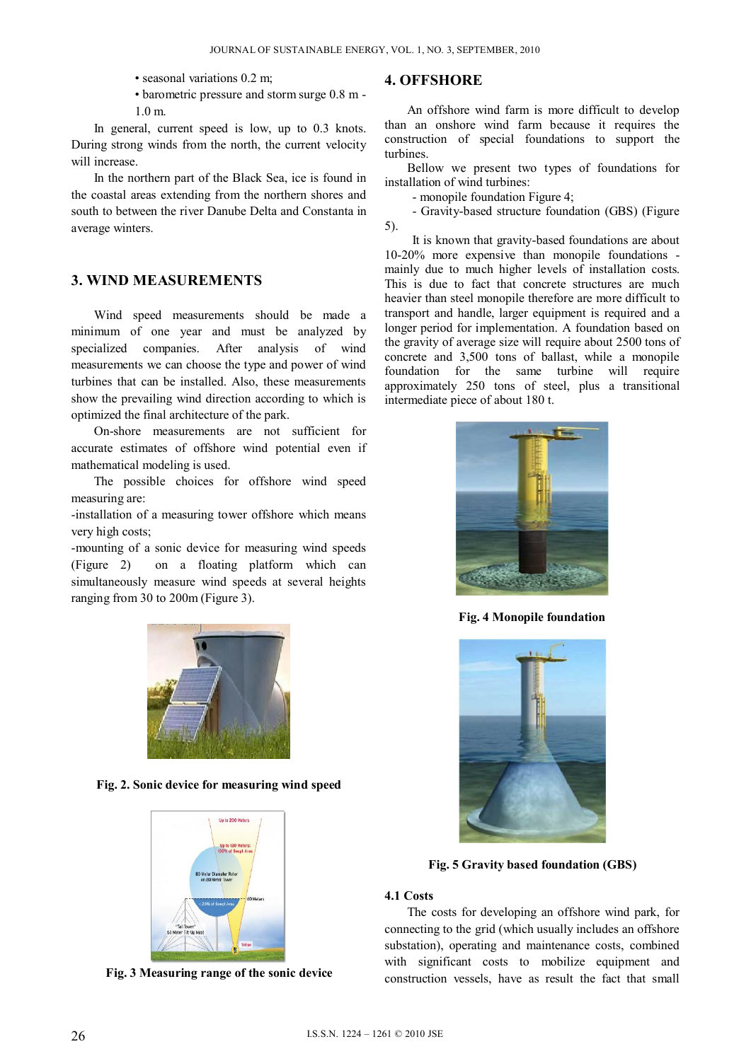- seasonal variations 0.2 m;
- barometric pressure and storm surge 0.8 m 1.0 m.

In general, current speed is low, up to 0.3 knots. During strong winds from the north, the current velocity will increase.

In the northern part of the Black Sea, ice is found in the coastal areas extending from the northern shores and south to between the river Danube Delta and Constanta in average winters.

## **3. WIND MEASUREMENTS**

Wind speed measurements should be made a minimum of one year and must be analyzed by specialized companies. After analysis of wind measurements we can choose the type and power of wind turbines that can be installed. Also, these measurements show the prevailing wind direction according to which is optimized the final architecture of the park.

On-shore measurements are not sufficient for accurate estimates of offshore wind potential even if mathematical modeling is used.

The possible choices for offshore wind speed measuring are:

-installation of a measuring tower offshore which means very high costs;

-mounting of a sonic device for measuring wind speeds (Figure 2) on a floating platform which can simultaneously measure wind speeds at several heights ranging from 30 to 200m (Figure 3).



**Fig. 2. Sonic device for measuring wind speed** 



**Fig. 3 Measuring range of the sonic device** 

## **4. OFFSHORE**

 An offshore wind farm is more difficult to develop than an onshore wind farm because it requires the construction of special foundations to support the turbines.

 Bellow we present two types of foundations for installation of wind turbines:

- monopile foundation Figure 4;

 - Gravity-based structure foundation (GBS) (Figure 5).

 It is known that gravity-based foundations are about 10-20% more expensive than monopile foundations mainly due to much higher levels of installation costs. This is due to fact that concrete structures are much heavier than steel monopile therefore are more difficult to transport and handle, larger equipment is required and a longer period for implementation. A foundation based on the gravity of average size will require about 2500 tons of concrete and 3,500 tons of ballast, while a monopile foundation for the same turbine will require approximately 250 tons of steel, plus a transitional intermediate piece of about 180 t.



**Fig. 4 Monopile foundation** 



**Fig. 5 Gravity based foundation (GBS)** 

#### **4.1 Costs**

The costs for developing an offshore wind park, for connecting to the grid (which usually includes an offshore substation), operating and maintenance costs, combined with significant costs to mobilize equipment and construction vessels, have as result the fact that small